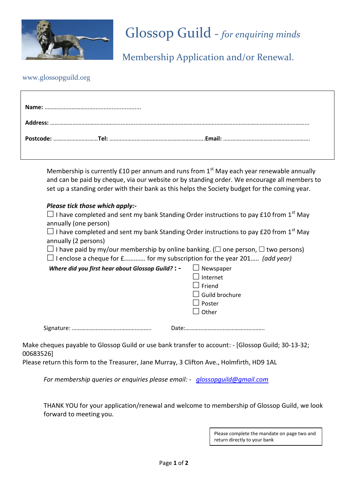

## Glossop Guild - *for enquiring minds*

Membership Application and/or Renewal.

### www.glossopguild.org

Membership is currently £10 per annum and runs from  $1<sup>st</sup>$  May each year renewable annually and can be paid by cheque, via our website or by standing order. We encourage all members to set up a standing order with their bank as this helps the Society budget for the coming year.

#### *Please tick those which apply:-*

 $\Box$  I have completed and sent my bank Standing Order instructions to pay £10 from 1<sup>st</sup> May annually (one person)

 $\Box$  I have completed and sent my bank Standing Order instructions to pay £20 from 1<sup>st</sup> May annually (2 persons)

 $\Box$  I have paid by my/our membership by online banking. ( $\Box$  one person,  $\Box$  two persons)  $\Box$  I enclose a cheque for  $f$ .............. for my subscription for the year 201..... *(add year)* 

| Where did you first hear about Glossop Guild? : - | $\Box$ Newspaper      |
|---------------------------------------------------|-----------------------|
|                                                   | Internet              |
|                                                   | $\sf J$ Friend        |
|                                                   | $\Box$ Guild brochure |
|                                                   | Poster                |
|                                                   | Other                 |
|                                                   |                       |

………………………………………

|  | Date: |
|--|-------|
|  |       |

Make cheques payable to Glossop Guild or use bank transfer to account: - [Glossop Guild; 30-13-32; 00683526]

Please return this form to the Treasurer, Jane Murray, 3 Clifton Ave., Holmfirth, HD9 1AL

*For membership queries or enquiries please email: - [glossopguild@gmail.com](mailto:glossopguild@gmail.com)*

THANK YOU for your application/renewal and welcome to membership of Glossop Guild, we look forward to meeting you.

> Please complete the mandate on page two and return directly to your bank